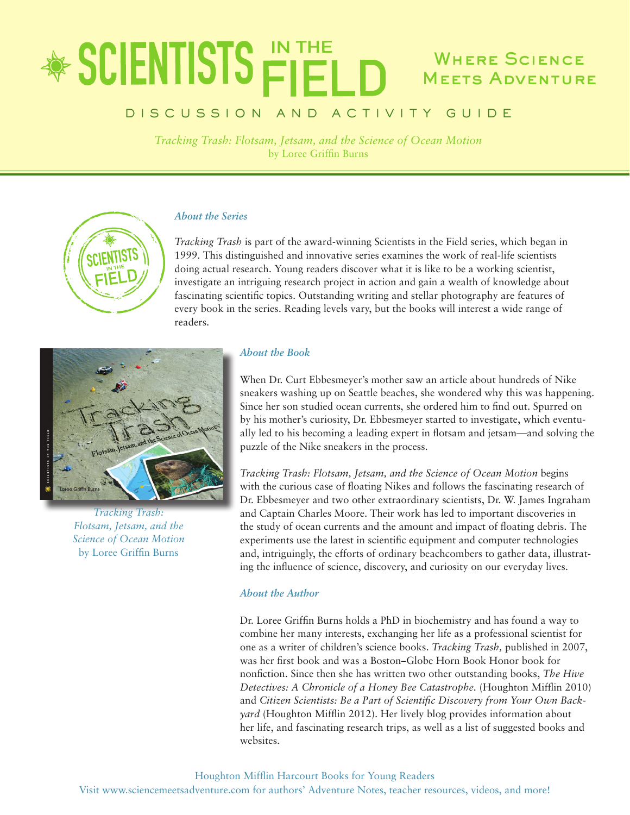### \* SCIENTISTS FIEI Where Science **MEETS ADVENTURE**

### DISCUSSION AND ACTIVITY GUIDE

*Tracking Trash: Flotsam, Jetsam, and the Science of Ocean Motion* by Loree Griffin Burns

#### *About the Series*

*Tracking Trash* is part of the award-winning Scientists in the Field series, which began in 1999. This distinguished and innovative series examines the work of real-life scientists doing actual research. Young readers discover what it is like to be a working scientist, investigate an intriguing research project in action and gain a wealth of knowledge about fascinating scientific topics. Outstanding writing and stellar photography are features of every book in the series. Reading levels vary, but the books will interest a wide range of readers.



*Tracking Trash: Flotsam, Jetsam, and the Science of Ocean Motion* by Loree Griffin Burns

#### *About the Book*

When Dr. Curt Ebbesmeyer's mother saw an article about hundreds of Nike sneakers washing up on Seattle beaches, she wondered why this was happening. Since her son studied ocean currents, she ordered him to find out. Spurred on by his mother's curiosity, Dr. Ebbesmeyer started to investigate, which eventually led to his becoming a leading expert in flotsam and jetsam—and solving the puzzle of the Nike sneakers in the process.

*Tracking Trash: Flotsam, Jetsam, and the Science of Ocean Motion* begins with the curious case of floating Nikes and follows the fascinating research of Dr. Ebbesmeyer and two other extraordinary scientists, Dr. W. James Ingraham and Captain Charles Moore. Their work has led to important discoveries in the study of ocean currents and the amount and impact of floating debris. The experiments use the latest in scientific equipment and computer technologies and, intriguingly, the efforts of ordinary beachcombers to gather data, illustrating the influence of science, discovery, and curiosity on our everyday lives.

#### *About the Author*

Dr. Loree Griffin Burns holds a PhD in biochemistry and has found a way to combine her many interests, exchanging her life as a professional scientist for one as a writer of children's science books. *Tracking Trash,* published in 2007, was her first book and was a Boston–Globe Horn Book Honor book for nonfiction. Since then she has written two other outstanding books, *The Hive Detectives: A Chronicle of a Honey Bee Catastrophe.* (Houghton Mifflin 2010) and *Citizen Scientists: Be a Part of Scientific Discovery from Your Own Backyard* (Houghton Mifflin 2012). Her lively blog provides information about her life, and fascinating research trips, as well as a list of suggested books and websites.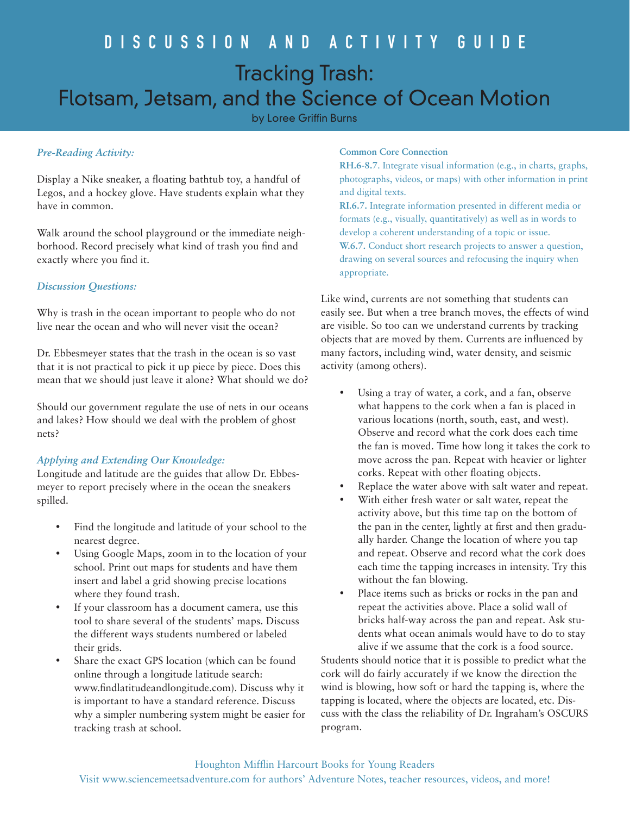## DISCUSSION AND ACTIVITY GUIDE Tracking Trash: Flotsam, Jetsam, and the Science of Ocean Motion

by Loree Griffin Burns

#### *Pre-Reading Activity:*

Display a Nike sneaker, a floating bathtub toy, a handful of Legos, and a hockey glove. Have students explain what they have in common.

Walk around the school playground or the immediate neighborhood. Record precisely what kind of trash you find and exactly where you find it.

#### *Discussion Questions:*

Why is trash in the ocean important to people who do not live near the ocean and who will never visit the ocean?

Dr. Ebbesmeyer states that the trash in the ocean is so vast that it is not practical to pick it up piece by piece. Does this mean that we should just leave it alone? What should we do?

Should our government regulate the use of nets in our oceans and lakes? How should we deal with the problem of ghost nets?

#### *Applying and Extending Our Knowledge:*

Longitude and latitude are the guides that allow Dr. Ebbesmeyer to report precisely where in the ocean the sneakers spilled.

- Find the longitude and latitude of your school to the nearest degree.
- Using Google Maps, zoom in to the location of your school. Print out maps for students and have them insert and label a grid showing precise locations where they found trash.
- If your classroom has a document camera, use this tool to share several of the students' maps. Discuss the different ways students numbered or labeled their grids.
- Share the exact GPS location (which can be found online through a longitude latitude search: www.findlatitudeandlongitude.com). Discuss why it is important to have a standard reference. Discuss why a simpler numbering system might be easier for tracking trash at school.

#### **Common Core Connection**

**RH.6-8.7**. Integrate visual information (e.g., in charts, graphs, photographs, videos, or maps) with other information in print and digital texts.

**RI.6.7.** Integrate information presented in different media or formats (e.g., visually, quantitatively) as well as in words to develop a coherent understanding of a topic or issue.

**W.6.7.** Conduct short research projects to answer a question, drawing on several sources and refocusing the inquiry when appropriate.

Like wind, currents are not something that students can easily see. But when a tree branch moves, the effects of wind are visible. So too can we understand currents by tracking objects that are moved by them. Currents are influenced by many factors, including wind, water density, and seismic activity (among others).

- • Using a tray of water, a cork, and a fan, observe what happens to the cork when a fan is placed in various locations (north, south, east, and west). Observe and record what the cork does each time the fan is moved. Time how long it takes the cork to move across the pan. Repeat with heavier or lighter corks. Repeat with other floating objects.
- Replace the water above with salt water and repeat.
- With either fresh water or salt water, repeat the activity above, but this time tap on the bottom of the pan in the center, lightly at first and then gradually harder. Change the location of where you tap and repeat. Observe and record what the cork does each time the tapping increases in intensity. Try this without the fan blowing.
- Place items such as bricks or rocks in the pan and repeat the activities above. Place a solid wall of bricks half-way across the pan and repeat. Ask students what ocean animals would have to do to stay alive if we assume that the cork is a food source.

Students should notice that it is possible to predict what the cork will do fairly accurately if we know the direction the wind is blowing, how soft or hard the tapping is, where the tapping is located, where the objects are located, etc. Discuss with the class the reliability of Dr. Ingraham's OSCURS program.